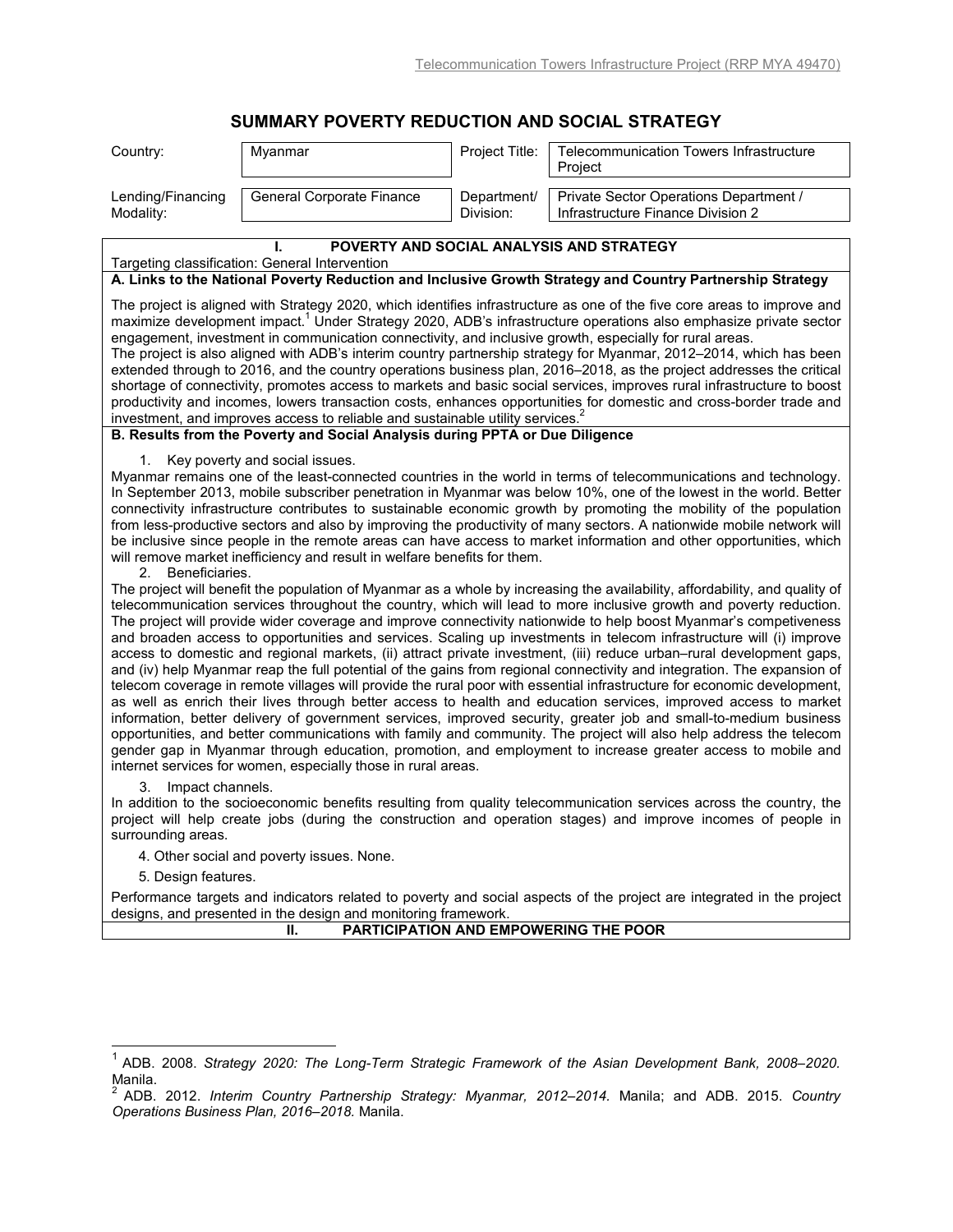## **SUMMARY POVERTY REDUCTION AND SOCIAL STRATEGY**

| Country:                                                                                                                                                                                                                                                                                                                                                                                                                                                                                                                                                                                                                                                                                                                                                                                                                                                                                                                                                                                                                                                                                                                                                                                                                                                | Myanmar                                                                                                                                                                                                                                                                                                                                                                                                                                                                                                                                                                                                                                                                                                                                                                                                                                                                                                                 | Project Title:           | Telecommunication Towers Infrastructure<br>Project                                                                                                                                                                                   |
|---------------------------------------------------------------------------------------------------------------------------------------------------------------------------------------------------------------------------------------------------------------------------------------------------------------------------------------------------------------------------------------------------------------------------------------------------------------------------------------------------------------------------------------------------------------------------------------------------------------------------------------------------------------------------------------------------------------------------------------------------------------------------------------------------------------------------------------------------------------------------------------------------------------------------------------------------------------------------------------------------------------------------------------------------------------------------------------------------------------------------------------------------------------------------------------------------------------------------------------------------------|-------------------------------------------------------------------------------------------------------------------------------------------------------------------------------------------------------------------------------------------------------------------------------------------------------------------------------------------------------------------------------------------------------------------------------------------------------------------------------------------------------------------------------------------------------------------------------------------------------------------------------------------------------------------------------------------------------------------------------------------------------------------------------------------------------------------------------------------------------------------------------------------------------------------------|--------------------------|--------------------------------------------------------------------------------------------------------------------------------------------------------------------------------------------------------------------------------------|
| Lending/Financing<br>Modality:                                                                                                                                                                                                                                                                                                                                                                                                                                                                                                                                                                                                                                                                                                                                                                                                                                                                                                                                                                                                                                                                                                                                                                                                                          | General Corporate Finance                                                                                                                                                                                                                                                                                                                                                                                                                                                                                                                                                                                                                                                                                                                                                                                                                                                                                               | Department/<br>Division: | Private Sector Operations Department /<br>Infrastructure Finance Division 2                                                                                                                                                          |
|                                                                                                                                                                                                                                                                                                                                                                                                                                                                                                                                                                                                                                                                                                                                                                                                                                                                                                                                                                                                                                                                                                                                                                                                                                                         |                                                                                                                                                                                                                                                                                                                                                                                                                                                                                                                                                                                                                                                                                                                                                                                                                                                                                                                         |                          | POVERTY AND SOCIAL ANALYSIS AND STRATEGY                                                                                                                                                                                             |
|                                                                                                                                                                                                                                                                                                                                                                                                                                                                                                                                                                                                                                                                                                                                                                                                                                                                                                                                                                                                                                                                                                                                                                                                                                                         | Targeting classification: General Intervention                                                                                                                                                                                                                                                                                                                                                                                                                                                                                                                                                                                                                                                                                                                                                                                                                                                                          |                          | A. Links to the National Poverty Reduction and Inclusive Growth Strategy and Country Partnership Strategy                                                                                                                            |
|                                                                                                                                                                                                                                                                                                                                                                                                                                                                                                                                                                                                                                                                                                                                                                                                                                                                                                                                                                                                                                                                                                                                                                                                                                                         |                                                                                                                                                                                                                                                                                                                                                                                                                                                                                                                                                                                                                                                                                                                                                                                                                                                                                                                         |                          |                                                                                                                                                                                                                                      |
| The project is aligned with Strategy 2020, which identifies infrastructure as one of the five core areas to improve and<br>maximize development impact. <sup>1</sup> Under Strategy 2020, ADB's infrastructure operations also emphasize private sector<br>engagement, investment in communication connectivity, and inclusive growth, especially for rural areas.<br>The project is also aligned with ADB's interim country partnership strategy for Myanmar, 2012–2014, which has been<br>extended through to 2016, and the country operations business plan, 2016–2018, as the project addresses the critical<br>shortage of connectivity, promotes access to markets and basic social services, improves rural infrastructure to boost<br>productivity and incomes, lowers transaction costs, enhances opportunities for domestic and cross-border trade and<br>investment, and improves access to reliable and sustainable utility services. <sup>2</sup>                                                                                                                                                                                                                                                                                          |                                                                                                                                                                                                                                                                                                                                                                                                                                                                                                                                                                                                                                                                                                                                                                                                                                                                                                                         |                          |                                                                                                                                                                                                                                      |
|                                                                                                                                                                                                                                                                                                                                                                                                                                                                                                                                                                                                                                                                                                                                                                                                                                                                                                                                                                                                                                                                                                                                                                                                                                                         | B. Results from the Poverty and Social Analysis during PPTA or Due Diligence                                                                                                                                                                                                                                                                                                                                                                                                                                                                                                                                                                                                                                                                                                                                                                                                                                            |                          |                                                                                                                                                                                                                                      |
| 1.<br>Key poverty and social issues.<br>Myanmar remains one of the least-connected countries in the world in terms of telecommunications and technology.<br>In September 2013, mobile subscriber penetration in Myanmar was below 10%, one of the lowest in the world. Better<br>connectivity infrastructure contributes to sustainable economic growth by promoting the mobility of the population<br>from less-productive sectors and also by improving the productivity of many sectors. A nationwide mobile network will<br>be inclusive since people in the remote areas can have access to market information and other opportunities, which<br>will remove market inefficiency and result in welfare benefits for them.<br>Beneficiaries.<br>2.<br>The project will benefit the population of Myanmar as a whole by increasing the availability, affordability, and quality of<br>telecommunication services throughout the country, which will lead to more inclusive growth and poverty reduction.<br>The project will provide wider coverage and improve connectivity nationwide to help boost Myanmar's competiveness<br>and broaden access to opportunities and services. Scaling up investments in telecom infrastructure will (i) improve |                                                                                                                                                                                                                                                                                                                                                                                                                                                                                                                                                                                                                                                                                                                                                                                                                                                                                                                         |                          |                                                                                                                                                                                                                                      |
|                                                                                                                                                                                                                                                                                                                                                                                                                                                                                                                                                                                                                                                                                                                                                                                                                                                                                                                                                                                                                                                                                                                                                                                                                                                         | access to domestic and regional markets, (ii) attract private investment, (iii) reduce urban-rural development gaps,<br>and (iv) help Myanmar reap the full potential of the gains from regional connectivity and integration. The expansion of<br>telecom coverage in remote villages will provide the rural poor with essential infrastructure for economic development,<br>as well as enrich their lives through better access to health and education services, improved access to market<br>information, better delivery of government services, improved security, greater job and small-to-medium business<br>opportunities, and better communications with family and community. The project will also help address the telecom<br>gender gap in Myanmar through education, promotion, and employment to increase greater access to mobile and<br>internet services for women, especially those in rural areas. |                          |                                                                                                                                                                                                                                      |
| 3.<br>Impact channels.<br>surrounding areas.                                                                                                                                                                                                                                                                                                                                                                                                                                                                                                                                                                                                                                                                                                                                                                                                                                                                                                                                                                                                                                                                                                                                                                                                            |                                                                                                                                                                                                                                                                                                                                                                                                                                                                                                                                                                                                                                                                                                                                                                                                                                                                                                                         |                          | In addition to the socioeconomic benefits resulting from quality telecommunication services across the country, the<br>project will help create jobs (during the construction and operation stages) and improve incomes of people in |
|                                                                                                                                                                                                                                                                                                                                                                                                                                                                                                                                                                                                                                                                                                                                                                                                                                                                                                                                                                                                                                                                                                                                                                                                                                                         | 4. Other social and poverty issues. None.                                                                                                                                                                                                                                                                                                                                                                                                                                                                                                                                                                                                                                                                                                                                                                                                                                                                               |                          |                                                                                                                                                                                                                                      |
| 5. Design features.                                                                                                                                                                                                                                                                                                                                                                                                                                                                                                                                                                                                                                                                                                                                                                                                                                                                                                                                                                                                                                                                                                                                                                                                                                     |                                                                                                                                                                                                                                                                                                                                                                                                                                                                                                                                                                                                                                                                                                                                                                                                                                                                                                                         |                          |                                                                                                                                                                                                                                      |
|                                                                                                                                                                                                                                                                                                                                                                                                                                                                                                                                                                                                                                                                                                                                                                                                                                                                                                                                                                                                                                                                                                                                                                                                                                                         | designs, and presented in the design and monitoring framework.                                                                                                                                                                                                                                                                                                                                                                                                                                                                                                                                                                                                                                                                                                                                                                                                                                                          |                          | Performance targets and indicators related to poverty and social aspects of the project are integrated in the project                                                                                                                |
|                                                                                                                                                                                                                                                                                                                                                                                                                                                                                                                                                                                                                                                                                                                                                                                                                                                                                                                                                                                                                                                                                                                                                                                                                                                         | Ш.                                                                                                                                                                                                                                                                                                                                                                                                                                                                                                                                                                                                                                                                                                                                                                                                                                                                                                                      |                          | PARTICIPATION AND EMPOWERING THE POOR                                                                                                                                                                                                |
|                                                                                                                                                                                                                                                                                                                                                                                                                                                                                                                                                                                                                                                                                                                                                                                                                                                                                                                                                                                                                                                                                                                                                                                                                                                         |                                                                                                                                                                                                                                                                                                                                                                                                                                                                                                                                                                                                                                                                                                                                                                                                                                                                                                                         |                          |                                                                                                                                                                                                                                      |

 1 ADB. 2008. *Strategy 2020: The Long-Term Strategic Framework of the Asian Development Bank, 2008–2020.*

Manila. 2 ADB. 2012. *Interim Country Partnership Strategy: Myanmar, 2012–2014.* Manila; and ADB. 2015. *Country Operations Business Plan, 2016–2018.* Manila.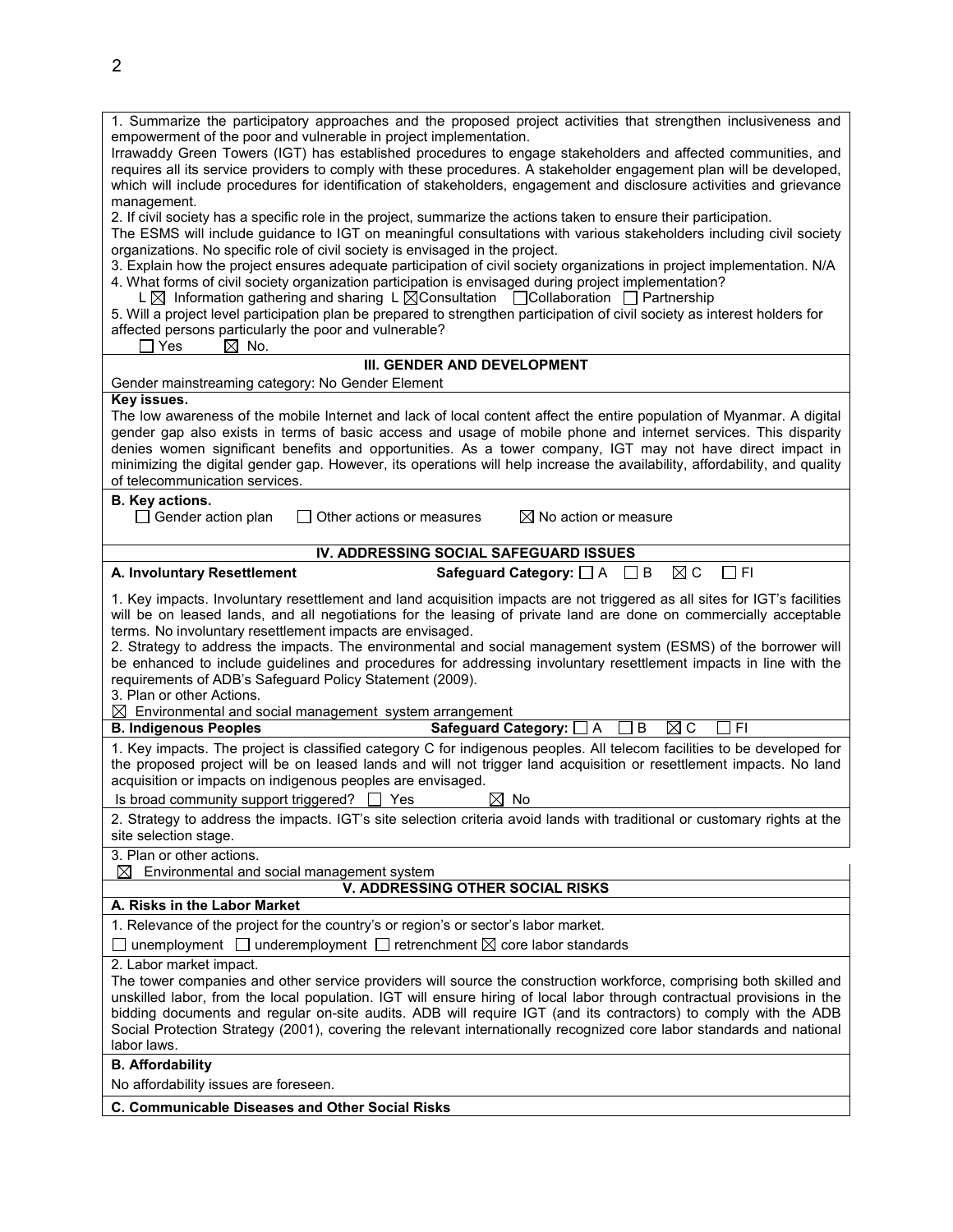| 1. Summarize the participatory approaches and the proposed project activities that strengthen inclusiveness and                                                                                                                      |  |  |  |
|--------------------------------------------------------------------------------------------------------------------------------------------------------------------------------------------------------------------------------------|--|--|--|
| empowerment of the poor and vulnerable in project implementation.                                                                                                                                                                    |  |  |  |
| Irrawaddy Green Towers (IGT) has established procedures to engage stakeholders and affected communities, and<br>requires all its service providers to comply with these procedures. A stakeholder engagement plan will be developed, |  |  |  |
| which will include procedures for identification of stakeholders, engagement and disclosure activities and grievance                                                                                                                 |  |  |  |
| management.                                                                                                                                                                                                                          |  |  |  |
| 2. If civil society has a specific role in the project, summarize the actions taken to ensure their participation.                                                                                                                   |  |  |  |
| The ESMS will include guidance to IGT on meaningful consultations with various stakeholders including civil society                                                                                                                  |  |  |  |
| organizations. No specific role of civil society is envisaged in the project.                                                                                                                                                        |  |  |  |
| 3. Explain how the project ensures adequate participation of civil society organizations in project implementation. N/A                                                                                                              |  |  |  |
| 4. What forms of civil society organization participation is envisaged during project implementation?                                                                                                                                |  |  |  |
| L $\boxtimes$ Information gathering and sharing L $\boxtimes$ Consultation $\Box$ Collaboration $\Box$ Partnership                                                                                                                   |  |  |  |
| 5. Will a project level participation plan be prepared to strengthen participation of civil society as interest holders for                                                                                                          |  |  |  |
| affected persons particularly the poor and vulnerable?                                                                                                                                                                               |  |  |  |
| Yes<br>$\boxtimes$ No.                                                                                                                                                                                                               |  |  |  |
| III. GENDER AND DEVELOPMENT                                                                                                                                                                                                          |  |  |  |
| Gender mainstreaming category: No Gender Element<br>Key issues.                                                                                                                                                                      |  |  |  |
| The low awareness of the mobile Internet and lack of local content affect the entire population of Myanmar. A digital                                                                                                                |  |  |  |
| gender gap also exists in terms of basic access and usage of mobile phone and internet services. This disparity                                                                                                                      |  |  |  |
| denies women significant benefits and opportunities. As a tower company, IGT may not have direct impact in                                                                                                                           |  |  |  |
| minimizing the digital gender gap. However, its operations will help increase the availability, affordability, and quality                                                                                                           |  |  |  |
| of telecommunication services.                                                                                                                                                                                                       |  |  |  |
| <b>B.</b> Key actions.                                                                                                                                                                                                               |  |  |  |
| $\Box$ Gender action plan<br>Other actions or measures<br>$\boxtimes$ No action or measure                                                                                                                                           |  |  |  |
|                                                                                                                                                                                                                                      |  |  |  |
| IV. ADDRESSING SOCIAL SAFEGUARD ISSUES                                                                                                                                                                                               |  |  |  |
| Safeguard Category: $\Box$ A $\Box$ B<br>$\boxtimes$ C<br>A. Involuntary Resettlement<br>$\Box$ FI                                                                                                                                   |  |  |  |
| 1. Key impacts. Involuntary resettlement and land acquisition impacts are not triggered as all sites for IGT's facilities                                                                                                            |  |  |  |
| will be on leased lands, and all negotiations for the leasing of private land are done on commercially acceptable                                                                                                                    |  |  |  |
| terms. No involuntary resettlement impacts are envisaged.                                                                                                                                                                            |  |  |  |
| 2. Strategy to address the impacts. The environmental and social management system (ESMS) of the borrower will                                                                                                                       |  |  |  |
| be enhanced to include guidelines and procedures for addressing involuntary resettlement impacts in line with the                                                                                                                    |  |  |  |
| requirements of ADB's Safeguard Policy Statement (2009).                                                                                                                                                                             |  |  |  |
| 3. Plan or other Actions.                                                                                                                                                                                                            |  |  |  |
| $\boxtimes$ Environmental and social management system arrangement                                                                                                                                                                   |  |  |  |
| <b>Safeguard Category:</b><br>$\boxtimes$ C<br>FI<br><b>B. Indigenous Peoples</b><br>]A<br>B                                                                                                                                         |  |  |  |
| 1. Key impacts. The project is classified category C for indigenous peoples. All telecom facilities to be developed for                                                                                                              |  |  |  |
| the proposed project will be on leased lands and will not trigger land acquisition or resettlement impacts. No land                                                                                                                  |  |  |  |
| acquisition or impacts on indigenous peoples are envisaged.                                                                                                                                                                          |  |  |  |
| Is broad community support triggered? □ Yes<br>図 No                                                                                                                                                                                  |  |  |  |
| 2. Strategy to address the impacts. IGT's site selection criteria avoid lands with traditional or customary rights at the                                                                                                            |  |  |  |
| site selection stage.                                                                                                                                                                                                                |  |  |  |
| 3. Plan or other actions.<br>Environmental and social management system<br>⊠                                                                                                                                                         |  |  |  |
| <b>V. ADDRESSING OTHER SOCIAL RISKS</b>                                                                                                                                                                                              |  |  |  |
| A. Risks in the Labor Market                                                                                                                                                                                                         |  |  |  |
| 1. Relevance of the project for the country's or region's or sector's labor market.                                                                                                                                                  |  |  |  |
| $\Box$ unemployment $\Box$ underemployment $\Box$ retrenchment $\boxtimes$ core labor standards                                                                                                                                      |  |  |  |
| 2. Labor market impact.                                                                                                                                                                                                              |  |  |  |
| The tower companies and other service providers will source the construction workforce, comprising both skilled and                                                                                                                  |  |  |  |
| unskilled labor, from the local population. IGT will ensure hiring of local labor through contractual provisions in the                                                                                                              |  |  |  |
| bidding documents and regular on-site audits. ADB will require IGT (and its contractors) to comply with the ADB                                                                                                                      |  |  |  |
| Social Protection Strategy (2001), covering the relevant internationally recognized core labor standards and national                                                                                                                |  |  |  |
| labor laws.                                                                                                                                                                                                                          |  |  |  |
| <b>B.</b> Affordability                                                                                                                                                                                                              |  |  |  |
| No affordability issues are foreseen.                                                                                                                                                                                                |  |  |  |
| C. Communicable Diseases and Other Social Risks                                                                                                                                                                                      |  |  |  |
|                                                                                                                                                                                                                                      |  |  |  |